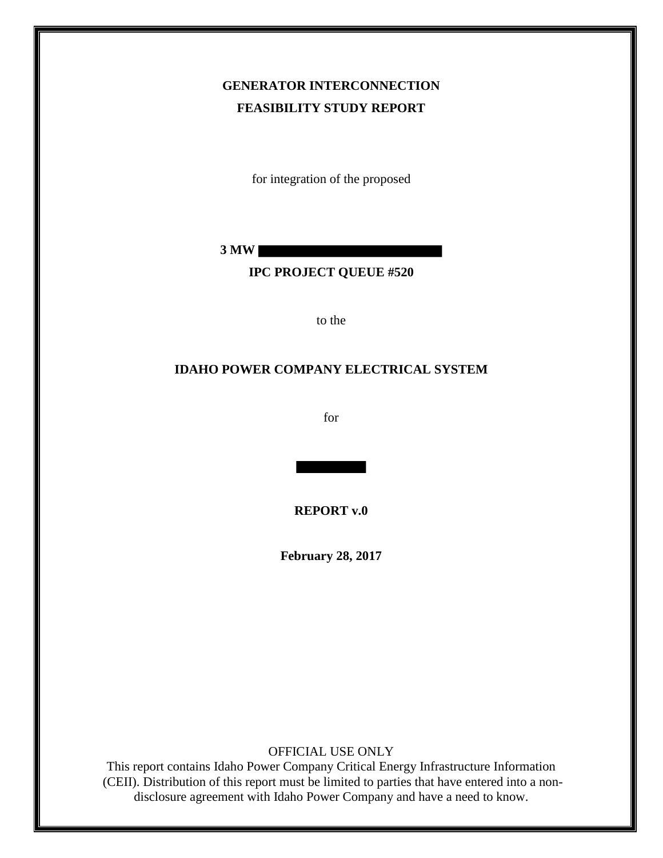## **GENERATOR INTERCONNECTION FEASIBILITY STUDY REPORT**

for integration of the proposed

**3 MW** 

#### **IPC PROJECT QUEUE #520**

to the

#### **IDAHO POWER COMPANY ELECTRICAL SYSTEM**

for

**REPORT v.0**

**February 28, 2017**

OFFICIAL USE ONLY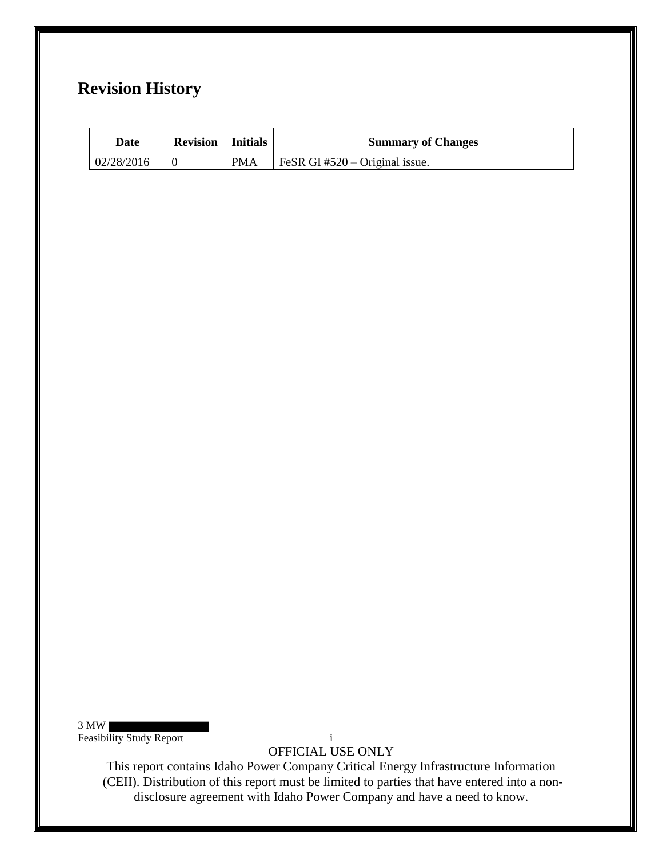## **Revision History**

| Date       | <b>Revision</b>   Initials |            | <b>Summary of Changes</b>      |
|------------|----------------------------|------------|--------------------------------|
| 02/28/2016 |                            | <b>PMA</b> | FeSR GI #520 – Original issue. |

3 MW

Feasibility Study Report i

OFFICIAL USE ONLY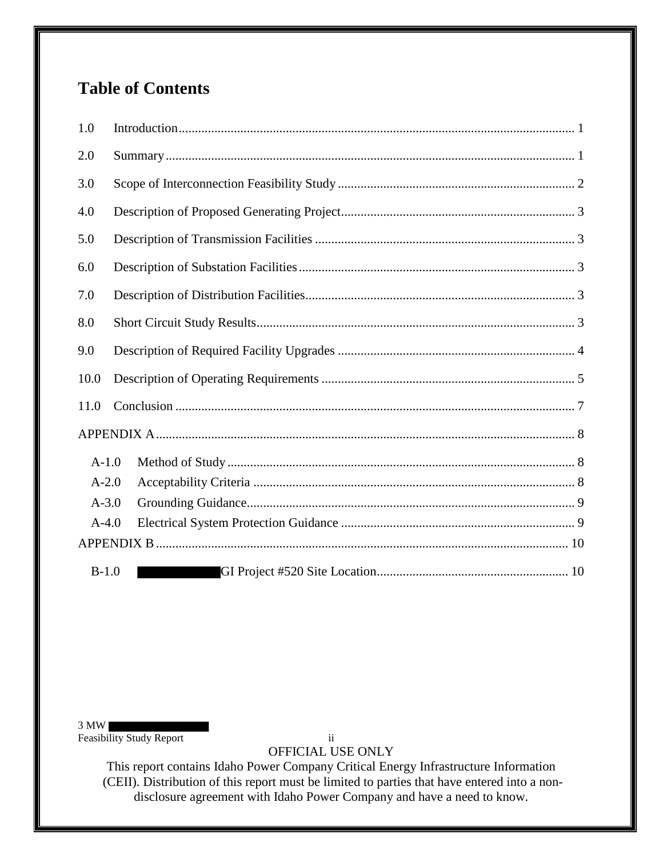# **Table of Contents**

| 1.0     |  |  |  |  |
|---------|--|--|--|--|
| 2.0     |  |  |  |  |
| 3.0     |  |  |  |  |
| 4.0     |  |  |  |  |
| 5.0     |  |  |  |  |
| 6.0     |  |  |  |  |
| 7.0     |  |  |  |  |
| 8.0     |  |  |  |  |
| 9.0     |  |  |  |  |
| 10.0    |  |  |  |  |
| 11.0    |  |  |  |  |
|         |  |  |  |  |
| $A-1.0$ |  |  |  |  |
| $A-2.0$ |  |  |  |  |
| $A-3.0$ |  |  |  |  |
| $A-4.0$ |  |  |  |  |
|         |  |  |  |  |
| $B-1.0$ |  |  |  |  |

3 MW

Feasibility Study Report ii

OFFICIAL USE ONLY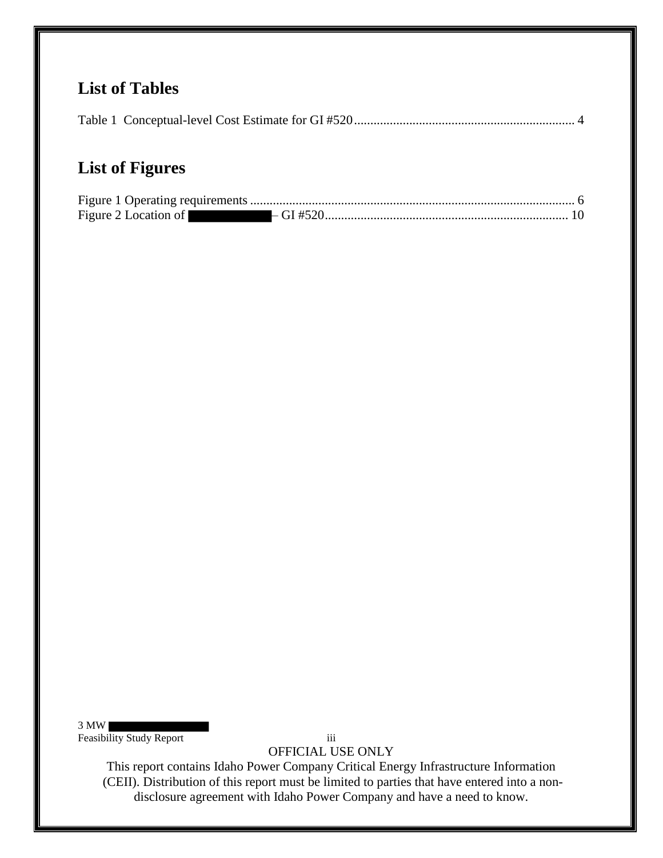## **List of Tables**

|--|

# **List of Figures**

| Figure 2 Location of |  |
|----------------------|--|

3 MW

Feasibility Study Report iii

OFFICIAL USE ONLY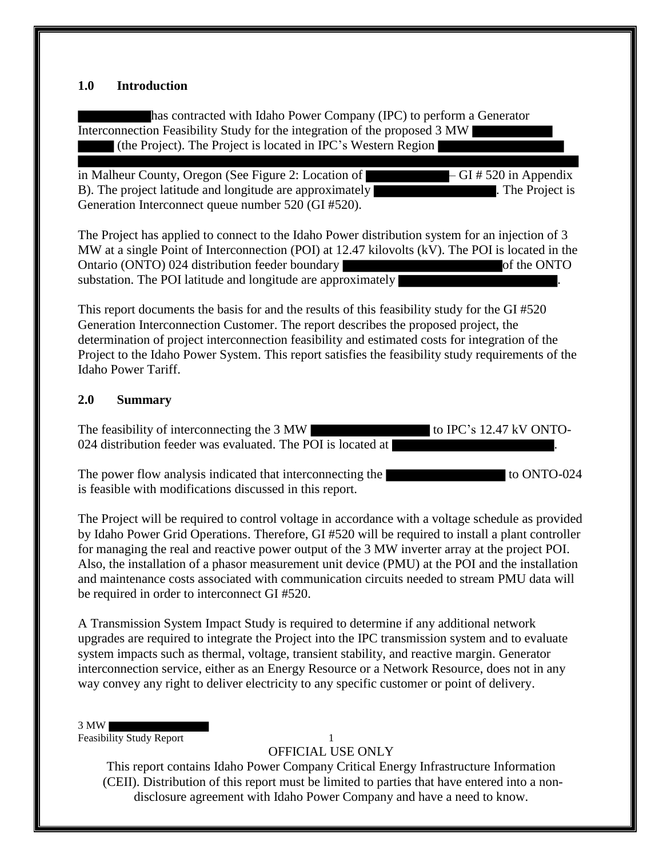#### **1.0 Introduction**

has contracted with Idaho Power Company (IPC) to perform a Generator Interconnection Feasibility Study for the integration of the proposed 3 MW (the Project). The Project is located in IPC's Western Region

in Malheur County, Oregon (See Figure 2: Location of – GI # 520 in Appendix B). The project latitude and longitude are approximately **Example 2.** The Project is Generation Interconnect queue number 520 (GI #520).

The Project has applied to connect to the Idaho Power distribution system for an injection of 3 MW at a single Point of Interconnection (POI) at 12.47 kilovolts (kV). The POI is located in the Ontario (ONTO) 024 distribution feeder boundary of the ONTO substation. The POI latitude and longitude are approximately

This report documents the basis for and the results of this feasibility study for the GI #520 Generation Interconnection Customer. The report describes the proposed project, the determination of project interconnection feasibility and estimated costs for integration of the Project to the Idaho Power System. This report satisfies the feasibility study requirements of the Idaho Power Tariff.

#### **2.0 Summary**

The feasibility of interconnecting the 3 MW 024 distribution feeder was evaluated. The POI is located at

The power flow analysis indicated that interconnecting the to ONTO-024 is feasible with modifications discussed in this report.

The Project will be required to control voltage in accordance with a voltage schedule as provided by Idaho Power Grid Operations. Therefore, GI #520 will be required to install a plant controller for managing the real and reactive power output of the 3 MW inverter array at the project POI. Also, the installation of a phasor measurement unit device (PMU) at the POI and the installation and maintenance costs associated with communication circuits needed to stream PMU data will be required in order to interconnect GI #520.

A Transmission System Impact Study is required to determine if any additional network upgrades are required to integrate the Project into the IPC transmission system and to evaluate system impacts such as thermal, voltage, transient stability, and reactive margin. Generator interconnection service, either as an Energy Resource or a Network Resource, does not in any way convey any right to deliver electricity to any specific customer or point of delivery.

#### 3 MW

Feasibility Study Report 1

OFFICIAL USE ONLY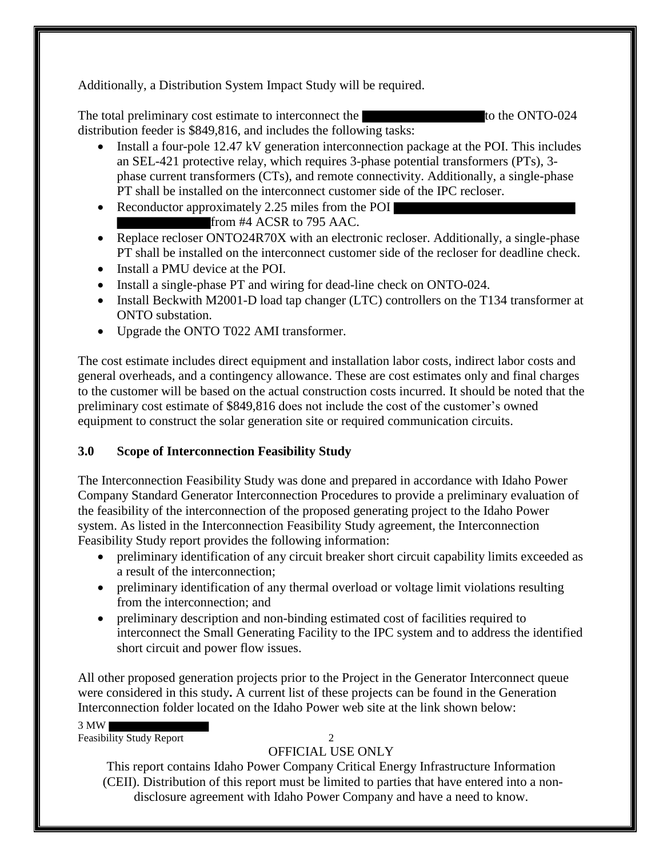Additionally, a Distribution System Impact Study will be required.

The total preliminary cost estimate to interconnect the to the ONTO-024 distribution feeder is \$849,816, and includes the following tasks:

- Install a four-pole 12.47 kV generation interconnection package at the POI. This includes an SEL-421 protective relay, which requires 3-phase potential transformers (PTs), 3 phase current transformers (CTs), and remote connectivity. Additionally, a single-phase PT shall be installed on the interconnect customer side of the IPC recloser.
- Reconductor approximately 2.25 miles from the POI from #4 ACSR to 795 AAC.
- Replace recloser ONTO24R70X with an electronic recloser. Additionally, a single-phase PT shall be installed on the interconnect customer side of the recloser for deadline check.
- Install a PMU device at the POI.
- Install a single-phase PT and wiring for dead-line check on ONTO-024.
- Install Beckwith M2001-D load tap changer (LTC) controllers on the T134 transformer at ONTO substation.
- Upgrade the ONTO T022 AMI transformer.

The cost estimate includes direct equipment and installation labor costs, indirect labor costs and general overheads, and a contingency allowance. These are cost estimates only and final charges to the customer will be based on the actual construction costs incurred. It should be noted that the preliminary cost estimate of \$849,816 does not include the cost of the customer's owned equipment to construct the solar generation site or required communication circuits.

### **3.0 Scope of Interconnection Feasibility Study**

The Interconnection Feasibility Study was done and prepared in accordance with Idaho Power Company Standard Generator Interconnection Procedures to provide a preliminary evaluation of the feasibility of the interconnection of the proposed generating project to the Idaho Power system. As listed in the Interconnection Feasibility Study agreement, the Interconnection Feasibility Study report provides the following information:

- preliminary identification of any circuit breaker short circuit capability limits exceeded as a result of the interconnection;
- preliminary identification of any thermal overload or voltage limit violations resulting from the interconnection; and
- preliminary description and non-binding estimated cost of facilities required to interconnect the Small Generating Facility to the IPC system and to address the identified short circuit and power flow issues.

All other proposed generation projects prior to the Project in the Generator Interconnect queue were considered in this study**.** A current list of these projects can be found in the Generation Interconnection folder located on the Idaho Power web site at the link shown below:

3 MW

Feasibility Study Report 2

### OFFICIAL USE ONLY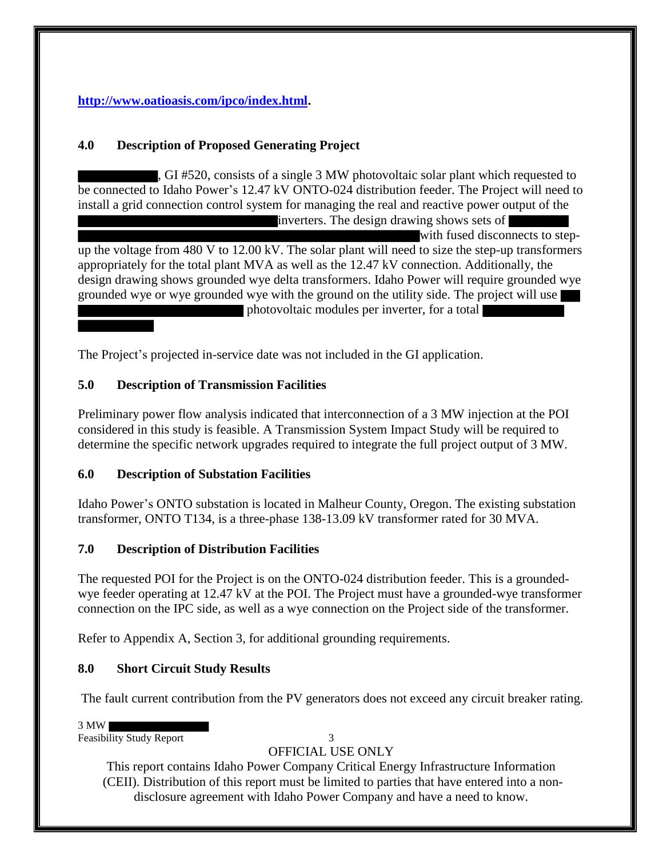#### **http://www.oatioasis.com/ipco/index.html.**

#### **4.0 Description of Proposed Generating Project**

, GI #520, consists of a single 3 MW photovoltaic solar plant which requested to be connected to Idaho Power's 12.47 kV ONTO-024 distribution feeder. The Project will need to install a grid connection control system for managing the real and reactive power output of the inverters. The design drawing shows sets of

with fused disconnects to stepup the voltage from 480 V to 12.00 kV. The solar plant will need to size the step-up transformers appropriately for the total plant MVA as well as the 12.47 kV connection. Additionally, the design drawing shows grounded wye delta transformers. Idaho Power will require grounded wye grounded wye or wye grounded wye with the ground on the utility side. The project will use photovoltaic modules per inverter, for a total

The Project's projected in-service date was not included in the GI application.

#### **5.0 Description of Transmission Facilities**

Preliminary power flow analysis indicated that interconnection of a 3 MW injection at the POI considered in this study is feasible. A Transmission System Impact Study will be required to determine the specific network upgrades required to integrate the full project output of 3 MW.

#### **6.0 Description of Substation Facilities**

Idaho Power's ONTO substation is located in Malheur County, Oregon. The existing substation transformer, ONTO T134, is a three-phase 138-13.09 kV transformer rated for 30 MVA.

#### **7.0 Description of Distribution Facilities**

The requested POI for the Project is on the ONTO-024 distribution feeder. This is a groundedwye feeder operating at 12.47 kV at the POI. The Project must have a grounded-wye transformer connection on the IPC side, as well as a wye connection on the Project side of the transformer.

Refer to Appendix A, Section 3, for additional grounding requirements.

#### **8.0 Short Circuit Study Results**

The fault current contribution from the PV generators does not exceed any circuit breaker rating.

3 MW

Feasibility Study Report 3

### OFFICIAL USE ONLY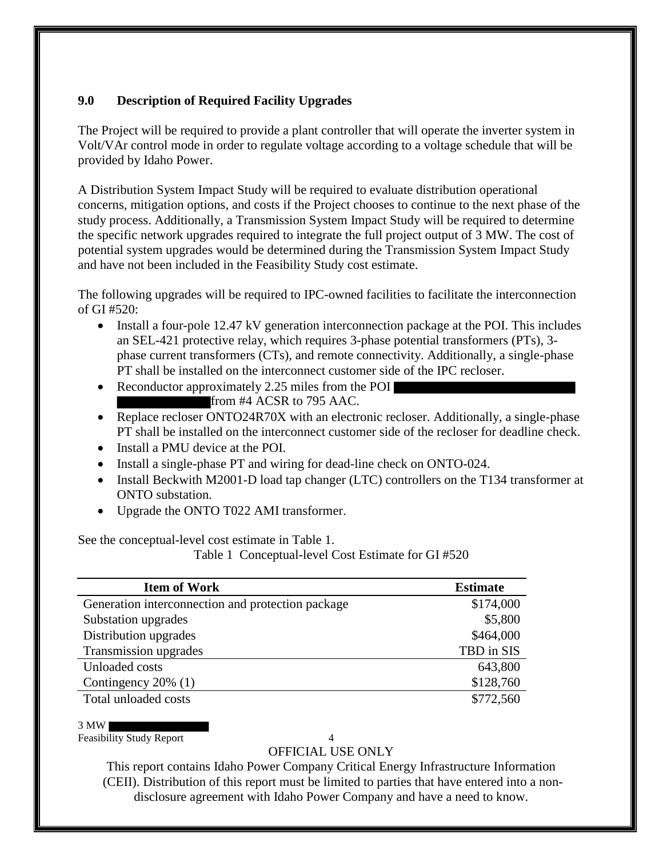#### **9.0 Description of Required Facility Upgrades**

The Project will be required to provide a plant controller that will operate the inverter system in Volt/VAr control mode in order to regulate voltage according to a voltage schedule that will be provided by Idaho Power.

A Distribution System Impact Study will be required to evaluate distribution operational concerns, mitigation options, and costs if the Project chooses to continue to the next phase of the study process. Additionally, a Transmission System Impact Study will be required to determine the specific network upgrades required to integrate the full project output of 3 MW. The cost of potential system upgrades would be determined during the Transmission System Impact Study and have not been included in the Feasibility Study cost estimate.

The following upgrades will be required to IPC-owned facilities to facilitate the interconnection of GI #520:

- Install a four-pole 12.47 kV generation interconnection package at the POI. This includes an SEL-421 protective relay, which requires 3-phase potential transformers (PTs), 3 phase current transformers (CTs), and remote connectivity. Additionally, a single-phase PT shall be installed on the interconnect customer side of the IPC recloser.
- Reconductor approximately 2.25 miles from the POI from #4 ACSR to 795 AAC.
- Replace recloser ONTO24R70X with an electronic recloser. Additionally, a single-phase PT shall be installed on the interconnect customer side of the recloser for deadline check.
- Install a PMU device at the POI.
- Install a single-phase PT and wiring for dead-line check on ONTO-024.
- Install Beckwith M2001-D load tap changer (LTC) controllers on the T134 transformer at ONTO substation.
- Upgrade the ONTO T022 AMI transformer.

See the conceptual-level cost estimate in Table 1.

Table 1 Conceptual-level Cost Estimate for GI #520

| <b>Item of Work</b>                               | <b>Estimate</b> |
|---------------------------------------------------|-----------------|
| Generation interconnection and protection package | \$174,000       |
| Substation upgrades                               | \$5,800         |
| Distribution upgrades                             | \$464,000       |
| Transmission upgrades                             | TBD in SIS      |
| Unloaded costs                                    | 643,800         |
| Contingency $20\%$ (1)                            | \$128,760       |
| Total unloaded costs                              | \$772,560       |

3 MW

Feasibility Study Report 4

#### OFFICIAL USE ONLY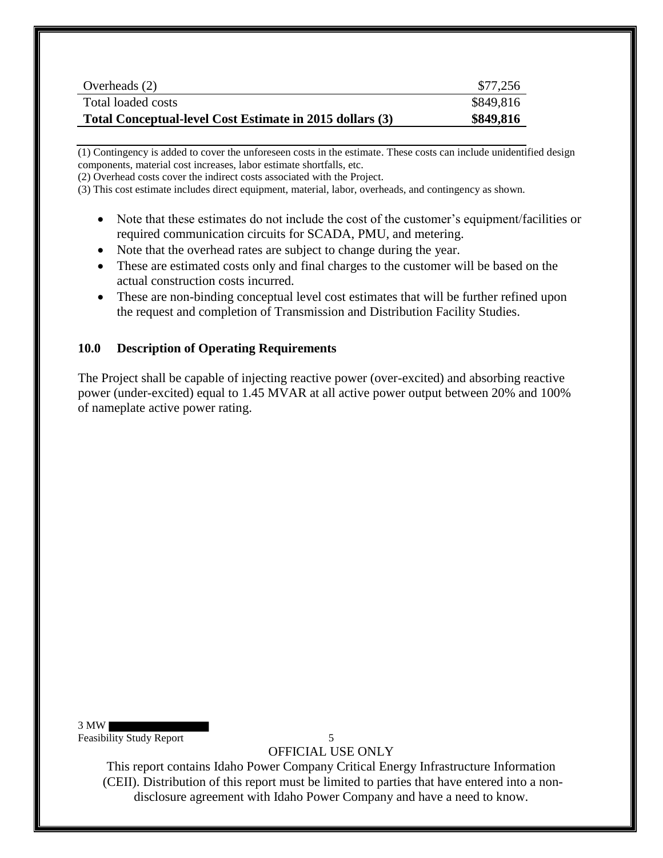| Overheads (2)                                            | \$77,256  |
|----------------------------------------------------------|-----------|
| Total loaded costs                                       | \$849,816 |
| Total Conceptual-level Cost Estimate in 2015 dollars (3) | \$849,816 |

(1) Contingency is added to cover the unforeseen costs in the estimate. These costs can include unidentified design components, material cost increases, labor estimate shortfalls, etc.

(2) Overhead costs cover the indirect costs associated with the Project.

(3) This cost estimate includes direct equipment, material, labor, overheads, and contingency as shown.

- Note that these estimates do not include the cost of the customer's equipment/facilities or required communication circuits for SCADA, PMU, and metering.
- Note that the overhead rates are subject to change during the year.
- These are estimated costs only and final charges to the customer will be based on the actual construction costs incurred.
- These are non-binding conceptual level cost estimates that will be further refined upon the request and completion of Transmission and Distribution Facility Studies.

#### **10.0 Description of Operating Requirements**

The Project shall be capable of injecting reactive power (over-excited) and absorbing reactive power (under-excited) equal to 1.45 MVAR at all active power output between 20% and 100% of nameplate active power rating.

3 MW Feasibility Study Report 5

OFFICIAL USE ONLY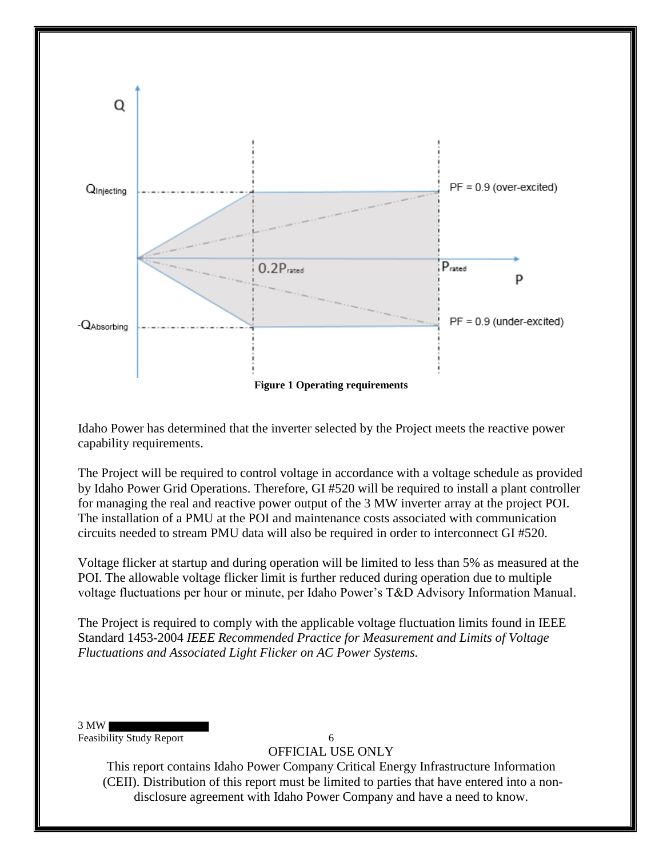

Idaho Power has determined that the inverter selected by the Project meets the reactive power capability requirements.

The Project will be required to control voltage in accordance with a voltage schedule as provided by Idaho Power Grid Operations. Therefore, GI #520 will be required to install a plant controller for managing the real and reactive power output of the 3 MW inverter array at the project POI. The installation of a PMU at the POI and maintenance costs associated with communication circuits needed to stream PMU data will also be required in order to interconnect GI #520.

Voltage flicker at startup and during operation will be limited to less than 5% as measured at the POI. The allowable voltage flicker limit is further reduced during operation due to multiple voltage fluctuations per hour or minute, per Idaho Power's T&D Advisory Information Manual.

The Project is required to comply with the applicable voltage fluctuation limits found in IEEE Standard 1453-2004 *IEEE Recommended Practice for Measurement and Limits of Voltage Fluctuations and Associated Light Flicker on AC Power Systems.* 

3 MW

Feasibility Study Report 6

OFFICIAL USE ONLY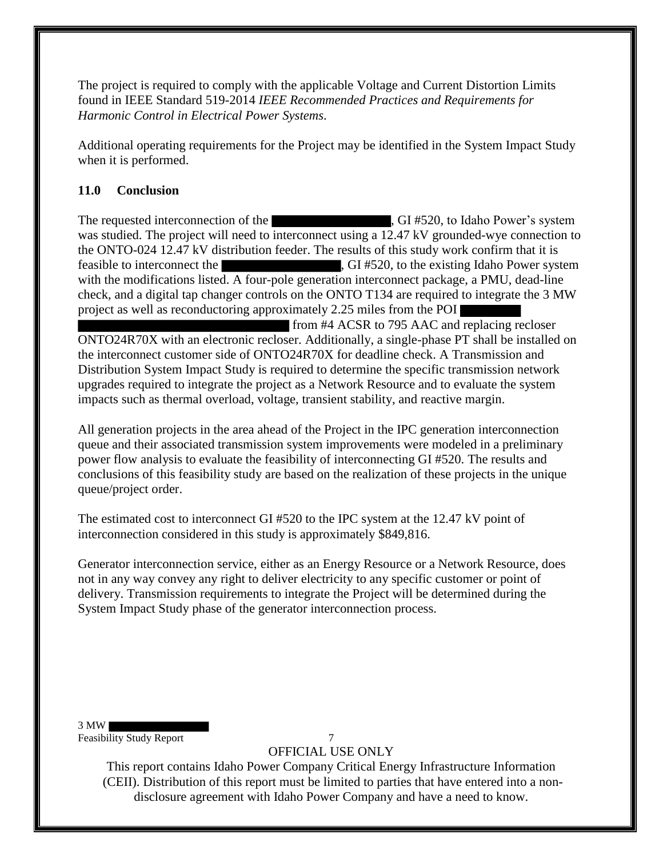The project is required to comply with the applicable Voltage and Current Distortion Limits found in IEEE Standard 519-2014 *IEEE Recommended Practices and Requirements for Harmonic Control in Electrical Power Systems*.

Additional operating requirements for the Project may be identified in the System Impact Study when it is performed.

#### **11.0 Conclusion**

The requested interconnection of the  $\overline{G}$ , GI #520, to Idaho Power's system was studied. The project will need to interconnect using a 12.47 kV grounded-wye connection to the ONTO-024 12.47 kV distribution feeder. The results of this study work confirm that it is feasible to interconnect the , GI #520, to the existing Idaho Power system with the modifications listed. A four-pole generation interconnect package, a PMU, dead-line check, and a digital tap changer controls on the ONTO T134 are required to integrate the 3 MW project as well as reconductoring approximately 2.25 miles from the POI

 from #4 ACSR to 795 AAC and replacing recloser ONTO24R70X with an electronic recloser. Additionally, a single-phase PT shall be installed on the interconnect customer side of ONTO24R70X for deadline check. A Transmission and Distribution System Impact Study is required to determine the specific transmission network upgrades required to integrate the project as a Network Resource and to evaluate the system impacts such as thermal overload, voltage, transient stability, and reactive margin.

All generation projects in the area ahead of the Project in the IPC generation interconnection queue and their associated transmission system improvements were modeled in a preliminary power flow analysis to evaluate the feasibility of interconnecting GI #520. The results and conclusions of this feasibility study are based on the realization of these projects in the unique queue/project order.

The estimated cost to interconnect GI #520 to the IPC system at the 12.47 kV point of interconnection considered in this study is approximately \$849,816.

Generator interconnection service, either as an Energy Resource or a Network Resource, does not in any way convey any right to deliver electricity to any specific customer or point of delivery. Transmission requirements to integrate the Project will be determined during the System Impact Study phase of the generator interconnection process.

#### 3 MW

Feasibility Study Report 7

OFFICIAL USE ONLY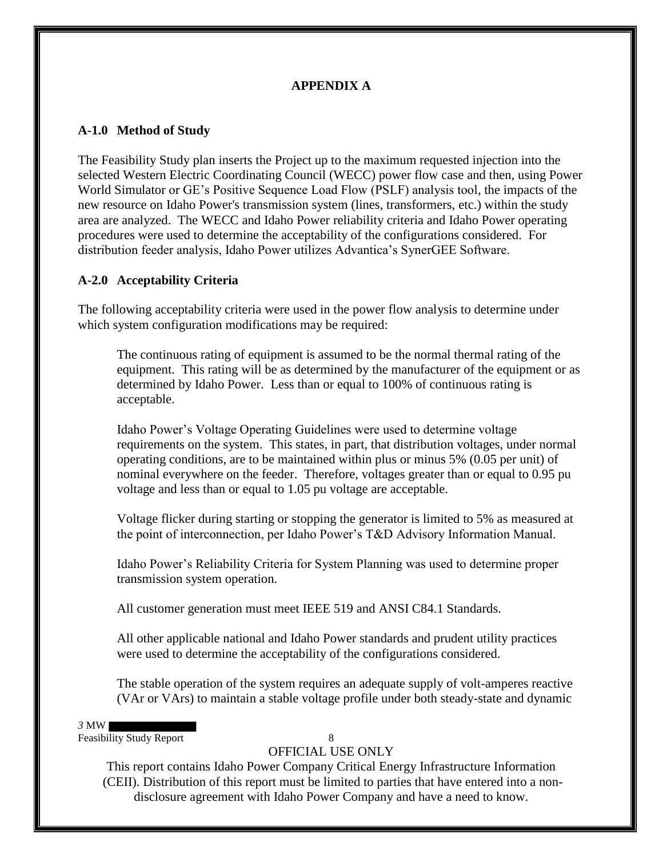#### **APPENDIX A**

#### **A-1.0 Method of Study**

The Feasibility Study plan inserts the Project up to the maximum requested injection into the selected Western Electric Coordinating Council (WECC) power flow case and then, using Power World Simulator or GE's Positive Sequence Load Flow (PSLF) analysis tool, the impacts of the new resource on Idaho Power's transmission system (lines, transformers, etc.) within the study area are analyzed. The WECC and Idaho Power reliability criteria and Idaho Power operating procedures were used to determine the acceptability of the configurations considered. For distribution feeder analysis, Idaho Power utilizes Advantica's SynerGEE Software.

#### **A-2.0 Acceptability Criteria**

The following acceptability criteria were used in the power flow analysis to determine under which system configuration modifications may be required:

The continuous rating of equipment is assumed to be the normal thermal rating of the equipment. This rating will be as determined by the manufacturer of the equipment or as determined by Idaho Power. Less than or equal to 100% of continuous rating is acceptable.

Idaho Power's Voltage Operating Guidelines were used to determine voltage requirements on the system. This states, in part, that distribution voltages, under normal operating conditions, are to be maintained within plus or minus 5% (0.05 per unit) of nominal everywhere on the feeder. Therefore, voltages greater than or equal to 0.95 pu voltage and less than or equal to 1.05 pu voltage are acceptable.

Voltage flicker during starting or stopping the generator is limited to 5% as measured at the point of interconnection, per Idaho Power's T&D Advisory Information Manual.

Idaho Power's Reliability Criteria for System Planning was used to determine proper transmission system operation.

All customer generation must meet IEEE 519 and ANSI C84.1 Standards.

All other applicable national and Idaho Power standards and prudent utility practices were used to determine the acceptability of the configurations considered.

The stable operation of the system requires an adequate supply of volt-amperes reactive (VAr or VArs) to maintain a stable voltage profile under both steady-state and dynamic

*3* MW

Feasibility Study Report 8

### OFFICIAL USE ONLY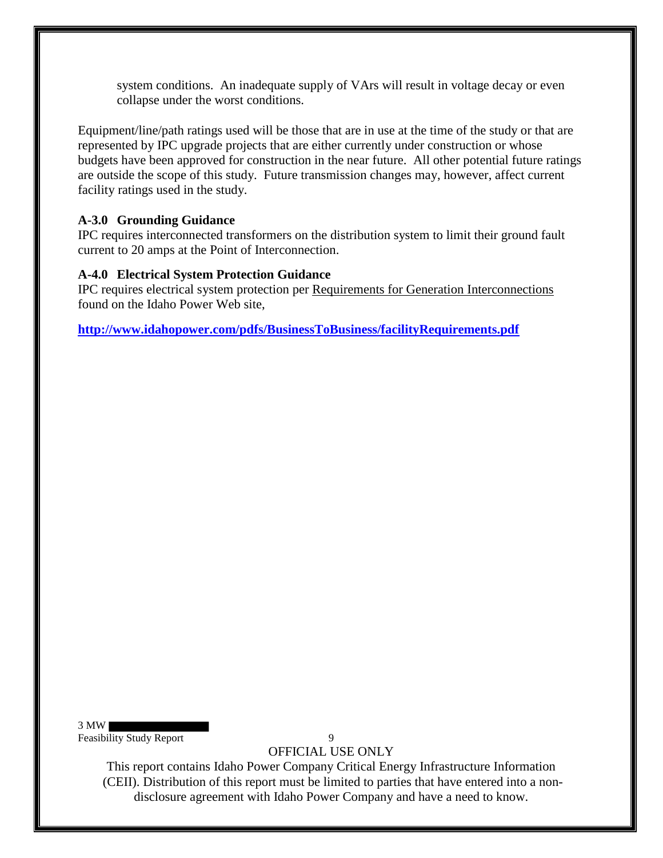system conditions. An inadequate supply of VArs will result in voltage decay or even collapse under the worst conditions.

Equipment/line/path ratings used will be those that are in use at the time of the study or that are represented by IPC upgrade projects that are either currently under construction or whose budgets have been approved for construction in the near future. All other potential future ratings are outside the scope of this study. Future transmission changes may, however, affect current facility ratings used in the study.

#### **A-3.0 Grounding Guidance**

IPC requires interconnected transformers on the distribution system to limit their ground fault current to 20 amps at the Point of Interconnection.

#### **A-4.0 Electrical System Protection Guidance**

IPC requires electrical system protection per Requirements for Generation Interconnections found on the Idaho Power Web site,

**http://www.idahopower.com/pdfs/BusinessToBusiness/facilityRequirements.pdf**

3 MW Feasibility Study Report 9

OFFICIAL USE ONLY